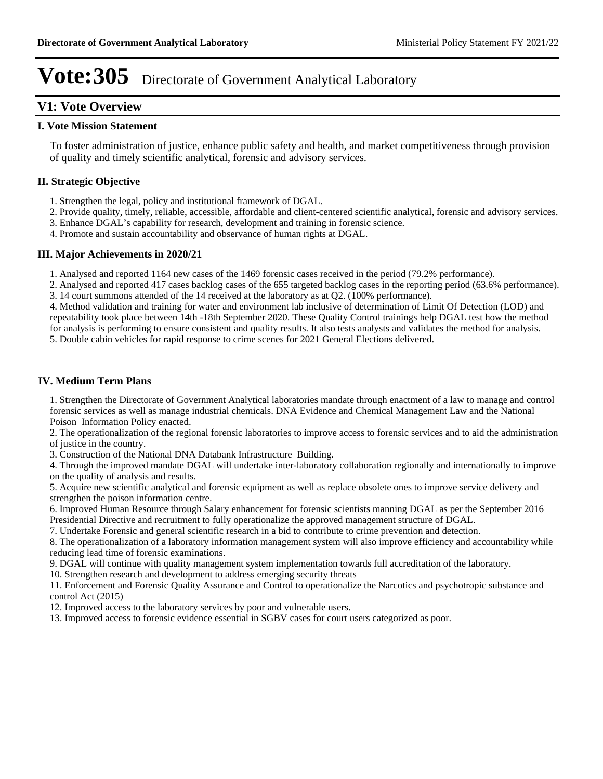# **V1: Vote Overview**

#### **I. Vote Mission Statement**

To foster administration of justice, enhance public safety and health, and market competitiveness through provision of quality and timely scientific analytical, forensic and advisory services.

## **II. Strategic Objective**

- 1. Strengthen the legal, policy and institutional framework of DGAL.
- 2. Provide quality, timely, reliable, accessible, affordable and client-centered scientific analytical, forensic and advisory services.
- 3. Enhance DGAL's capability for research, development and training in forensic science.
- 4. Promote and sustain accountability and observance of human rights at DGAL.

## **III. Major Achievements in 2020/21**

1. Analysed and reported 1164 new cases of the 1469 forensic cases received in the period (79.2% performance).

2. Analysed and reported 417 cases backlog cases of the 655 targeted backlog cases in the reporting period (63.6% performance). 3. 14 court summons attended of the 14 received at the laboratory as at Q2. (100% performance).

4. Method validation and training for water and environment lab inclusive of determination of Limit Of Detection (LOD) and repeatability took place between 14th -18th September 2020. These Quality Control trainings help DGAL test how the method for analysis is performing to ensure consistent and quality results. It also tests analysts and validates the method for analysis.

5. Double cabin vehicles for rapid response to crime scenes for 2021 General Elections delivered.

## **IV. Medium Term Plans**

1. Strengthen the Directorate of Government Analytical laboratories mandate through enactment of a law to manage and control forensic services as well as manage industrial chemicals. DNA Evidence and Chemical Management Law and the National Poison Information Policy enacted.

2. The operationalization of the regional forensic laboratories to improve access to forensic services and to aid the administration of justice in the country.

3. Construction of the National DNA Databank Infrastructure Building.

4. Through the improved mandate DGAL will undertake inter-laboratory collaboration regionally and internationally to improve on the quality of analysis and results.

5. Acquire new scientific analytical and forensic equipment as well as replace obsolete ones to improve service delivery and strengthen the poison information centre.

6. Improved Human Resource through Salary enhancement for forensic scientists manning DGAL as per the September 2016 Presidential Directive and recruitment to fully operationalize the approved management structure of DGAL.

7. Undertake Forensic and general scientific research in a bid to contribute to crime prevention and detection.

8. The operationalization of a laboratory information management system will also improve efficiency and accountability while reducing lead time of forensic examinations.

9. DGAL will continue with quality management system implementation towards full accreditation of the laboratory.

10. Strengthen research and development to address emerging security threats

11. Enforcement and Forensic Quality Assurance and Control to operationalize the Narcotics and psychotropic substance and control Act (2015)

12. Improved access to the laboratory services by poor and vulnerable users.

13. Improved access to forensic evidence essential in SGBV cases for court users categorized as poor.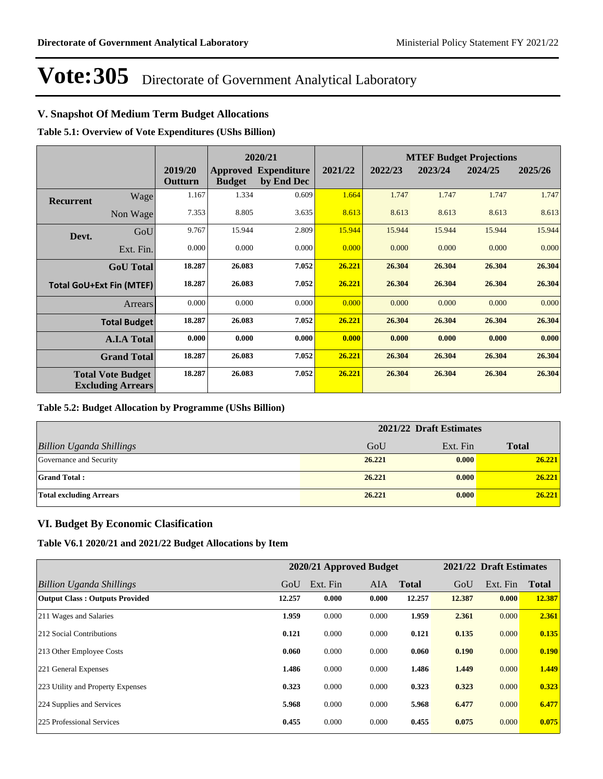# **V. Snapshot Of Medium Term Budget Allocations**

**Table 5.1: Overview of Vote Expenditures (UShs Billion)**

|                  |                                                      |                    |               | 2020/21                                   |         |         |         | <b>MTEF Budget Projections</b> |         |
|------------------|------------------------------------------------------|--------------------|---------------|-------------------------------------------|---------|---------|---------|--------------------------------|---------|
|                  |                                                      | 2019/20<br>Outturn | <b>Budget</b> | <b>Approved Expenditure</b><br>by End Dec | 2021/22 | 2022/23 | 2023/24 | 2024/25                        | 2025/26 |
| <b>Recurrent</b> | Wage                                                 | 1.167              | 1.334         | 0.609                                     | 1.664   | 1.747   | 1.747   | 1.747                          | 1.747   |
|                  | Non Wage                                             | 7.353              | 8.805         | 3.635                                     | 8.613   | 8.613   | 8.613   | 8.613                          | 8.613   |
| Devt.            | GoU                                                  | 9.767              | 15.944        | 2.809                                     | 15.944  | 15.944  | 15.944  | 15.944                         | 15.944  |
|                  | Ext. Fin.                                            | 0.000              | 0.000         | 0.000                                     | 0.000   | 0.000   | 0.000   | 0.000                          | 0.000   |
|                  | <b>GoU</b> Total                                     | 18.287             | 26.083        | 7.052                                     | 26.221  | 26.304  | 26.304  | 26.304                         | 26.304  |
|                  | <b>Total GoU+Ext Fin (MTEF)</b>                      | 18.287             | 26.083        | 7.052                                     | 26.221  | 26.304  | 26.304  | 26.304                         | 26.304  |
|                  | Arrears                                              | 0.000              | 0.000         | 0.000                                     | 0.000   | 0.000   | 0.000   | 0.000                          | 0.000   |
|                  | <b>Total Budget</b>                                  | 18.287             | 26.083        | 7.052                                     | 26.221  | 26.304  | 26.304  | 26.304                         | 26.304  |
|                  | <b>A.I.A Total</b>                                   | 0.000              | 0.000         | 0.000                                     | 0.000   | 0.000   | 0.000   | 0.000                          | 0.000   |
|                  | <b>Grand Total</b>                                   | 18.287             | 26.083        | 7.052                                     | 26.221  | 26.304  | 26.304  | 26.304                         | 26.304  |
|                  | <b>Total Vote Budget</b><br><b>Excluding Arrears</b> | 18.287             | 26.083        | 7.052                                     | 26.221  | 26.304  | 26.304  | 26.304                         | 26.304  |

### **Table 5.2: Budget Allocation by Programme (UShs Billion)**

|                                 | 2021/22 Draft Estimates |          |              |  |  |
|---------------------------------|-------------------------|----------|--------------|--|--|
| <b>Billion Uganda Shillings</b> | GoU                     | Ext. Fin | <b>Total</b> |  |  |
| Governance and Security         | 26,221                  | 0.000    | 26.221       |  |  |
| <b>Grand Total:</b>             | 26.221                  | 0.000    | 26.221       |  |  |
| <b>Total excluding Arrears</b>  | 26.221                  | 0.000    | 26.221       |  |  |

### **VI. Budget By Economic Clasification**

**Table V6.1 2020/21 and 2021/22 Budget Allocations by Item**

|                                       |        |          | 2020/21 Approved Budget |              |        | 2021/22 Draft Estimates |              |
|---------------------------------------|--------|----------|-------------------------|--------------|--------|-------------------------|--------------|
| Billion Uganda Shillings              | GoU    | Ext. Fin | <b>AIA</b>              | <b>Total</b> | GoU    | Ext. Fin                | <b>Total</b> |
| <b>Output Class: Outputs Provided</b> | 12.257 | 0.000    | 0.000                   | 12.257       | 12.387 | 0.000                   | 12.387       |
| 211 Wages and Salaries                | 1.959  | 0.000    | 0.000                   | 1.959        | 2.361  | 0.000                   | 2.361        |
| 212 Social Contributions              | 0.121  | 0.000    | 0.000                   | 0.121        | 0.135  | 0.000                   | 0.135        |
| 213 Other Employee Costs              | 0.060  | 0.000    | 0.000                   | 0.060        | 0.190  | 0.000                   | 0.190        |
| 221 General Expenses                  | 1.486  | 0.000    | 0.000                   | 1.486        | 1.449  | 0.000                   | 1.449        |
| 223 Utility and Property Expenses     | 0.323  | 0.000    | 0.000                   | 0.323        | 0.323  | 0.000                   | 0.323        |
| 224 Supplies and Services             | 5.968  | 0.000    | 0.000                   | 5.968        | 6.477  | 0.000                   | 6.477        |
| 225 Professional Services             | 0.455  | 0.000    | 0.000                   | 0.455        | 0.075  | 0.000                   | 0.075        |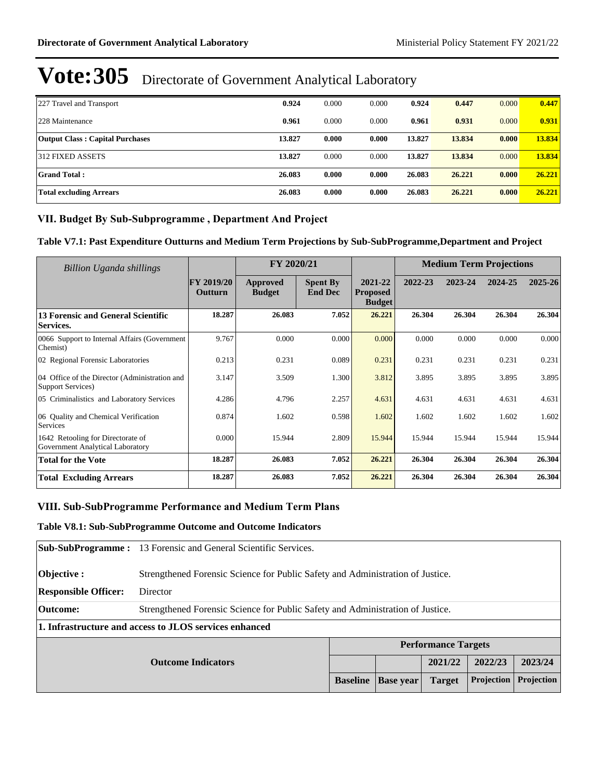| 227 Travel and Transport               | 0.924  | 0.000 | 0.000 | 0.924  | 0.447  | 0.000 | 0.447  |
|----------------------------------------|--------|-------|-------|--------|--------|-------|--------|
| 228 Maintenance                        | 0.961  | 0.000 | 0.000 | 0.961  | 0.931  | 0.000 | 0.931  |
| <b>Output Class: Capital Purchases</b> | 13.827 | 0.000 | 0.000 | 13.827 | 13.834 | 0.000 | 13.834 |
| 312 FIXED ASSETS                       | 13.827 | 0.000 | 0.000 | 13.827 | 13.834 | 0.000 | 13.834 |
| <b>Grand Total:</b>                    | 26.083 | 0.000 | 0.000 | 26.083 | 26,221 | 0.000 | 26,221 |
| Total excluding Arrears                | 26.083 | 0.000 | 0.000 | 26.083 | 26,221 | 0.000 | 26,221 |

# VII. Budget By Sub-Subprogramme, Department And Project

**Table V7.1: Past Expenditure Outturns and Medium Term Projections by Sub-SubProgramme,Department and Project**

| Billion Uganda shillings                                              |                                     | FY 2020/21                |                                   |                                             | <b>Medium Term Projections</b> |         |         |             |
|-----------------------------------------------------------------------|-------------------------------------|---------------------------|-----------------------------------|---------------------------------------------|--------------------------------|---------|---------|-------------|
|                                                                       | <b>FY 2019/20</b><br><b>Outturn</b> | Approved<br><b>Budget</b> | <b>Spent By</b><br><b>End Dec</b> | 2021-22<br><b>Proposed</b><br><b>Budget</b> | 2022-23                        | 2023-24 | 2024-25 | $2025 - 26$ |
| 13 Forensic and General Scientific<br>Services.                       | 18.287                              | 26.083                    | 7.052                             | 26.221                                      | 26.304                         | 26.304  | 26.304  | 26.304      |
| 0066 Support to Internal Affairs (Government)<br>Chemist)             | 9.767                               | 0.000                     | 0.000                             | 0.000                                       | 0.000                          | 0.000   | 0.000   | 0.000       |
| 02 Regional Forensic Laboratories                                     | 0.213                               | 0.231                     | 0.089                             | 0.231                                       | 0.231                          | 0.231   | 0.231   | 0.231       |
| 04 Office of the Director (Administration and<br>Support Services)    | 3.147                               | 3.509                     | 1.300                             | 3.812                                       | 3.895                          | 3.895   | 3.895   | 3.895       |
| 05 Criminalistics and Laboratory Services                             | 4.286                               | 4.796                     | 2.257                             | 4.631                                       | 4.631                          | 4.631   | 4.631   | 4.631       |
| 06 Quality and Chemical Verification<br>Services                      | 0.874                               | 1.602                     | 0.598                             | 1.602                                       | 1.602                          | 1.602   | 1.602   | 1.602       |
| 1642 Retooling for Directorate of<br>Government Analytical Laboratory | 0.000                               | 15.944                    | 2.809                             | 15.944                                      | 15.944                         | 15.944  | 15.944  | 15.944      |
| <b>Total for the Vote</b>                                             | 18.287                              | 26.083                    | 7.052                             | 26.221                                      | 26.304                         | 26.304  | 26.304  | 26.304      |
| <b>Total Excluding Arrears</b>                                        | 18.287                              | 26.083                    | 7.052                             | 26.221                                      | 26.304                         | 26.304  | 26.304  | 26.304      |

### **VIII. Sub-SubProgramme Performance and Medium Term Plans**

**Table V8.1: Sub-SubProgramme Outcome and Outcome Indicators** 

|                             | <b>Sub-SubProgramme:</b> 13 Forensic and General Scientific Services.            |  |  |                            |         |         |  |  |  |
|-----------------------------|----------------------------------------------------------------------------------|--|--|----------------------------|---------|---------|--|--|--|
| Objective :                 | Strengthened Forensic Science for Public Safety and Administration of Justice.   |  |  |                            |         |         |  |  |  |
| <b>Responsible Officer:</b> | Director                                                                         |  |  |                            |         |         |  |  |  |
| Outcome:                    | Strengthened Forensic Science for Public Safety and Administration of Justice.   |  |  |                            |         |         |  |  |  |
|                             | 1. Infrastructure and access to JLOS services enhanced                           |  |  |                            |         |         |  |  |  |
|                             |                                                                                  |  |  | <b>Performance Targets</b> |         |         |  |  |  |
| <b>Outcome Indicators</b>   |                                                                                  |  |  | 2021/22                    | 2022/23 | 2023/24 |  |  |  |
|                             | Projection<br>Projection<br><b>Baseline</b><br><b>Base</b> year<br><b>Target</b> |  |  |                            |         |         |  |  |  |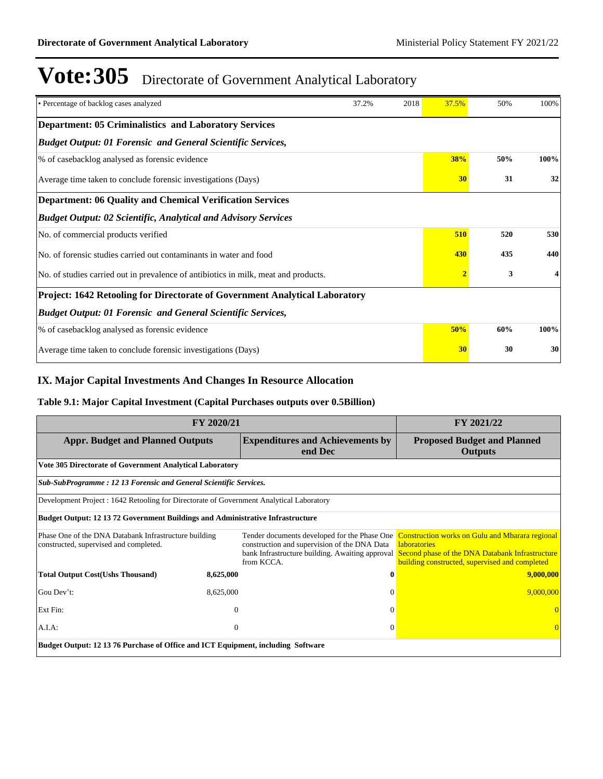| • Percentage of backlog cases analyzed                                              | 37.2% | 2018 | 37.5%          | 50% | 100% |  |  |  |  |  |
|-------------------------------------------------------------------------------------|-------|------|----------------|-----|------|--|--|--|--|--|
| <b>Department: 05 Criminalistics and Laboratory Services</b>                        |       |      |                |     |      |  |  |  |  |  |
| <b>Budget Output: 01 Forensic and General Scientific Services,</b>                  |       |      |                |     |      |  |  |  |  |  |
| % of casebacklog analysed as forensic evidence                                      |       |      | <b>38%</b>     | 50% | 100% |  |  |  |  |  |
| Average time taken to conclude forensic investigations (Days)                       |       |      | 30             | 31  | 32   |  |  |  |  |  |
| <b>Department: 06 Quality and Chemical Verification Services</b>                    |       |      |                |     |      |  |  |  |  |  |
| <b>Budget Output: 02 Scientific, Analytical and Advisory Services</b>               |       |      |                |     |      |  |  |  |  |  |
| No. of commercial products verified                                                 |       |      | 510            | 520 | 530  |  |  |  |  |  |
| No. of forensic studies carried out contaminants in water and food                  |       |      | 430            | 435 | 440  |  |  |  |  |  |
| No. of studies carried out in prevalence of antibiotics in milk, meat and products. |       |      | $\overline{2}$ | 3   |      |  |  |  |  |  |
| Project: 1642 Retooling for Directorate of Government Analytical Laboratory         |       |      |                |     |      |  |  |  |  |  |
| <b>Budget Output: 01 Forensic and General Scientific Services,</b>                  |       |      |                |     |      |  |  |  |  |  |
| % of casebacklog analysed as forensic evidence                                      |       |      | 50%            | 60% | 100% |  |  |  |  |  |
| Average time taken to conclude forensic investigations (Days)                       |       |      | 30             | 30  | 30   |  |  |  |  |  |

# **IX. Major Capital Investments And Changes In Resource Allocation**

# **Table 9.1: Major Capital Investment (Capital Purchases outputs over 0.5Billion)**

| FY 2020/21                                                                                      | FY 2021/22     |                                                                                                                                                               |                                                                                                                                                                                    |  |  |  |  |
|-------------------------------------------------------------------------------------------------|----------------|---------------------------------------------------------------------------------------------------------------------------------------------------------------|------------------------------------------------------------------------------------------------------------------------------------------------------------------------------------|--|--|--|--|
| <b>Appr. Budget and Planned Outputs</b>                                                         |                | <b>Expenditures and Achievements by</b><br>end Dec                                                                                                            | <b>Proposed Budget and Planned</b><br><b>Outputs</b>                                                                                                                               |  |  |  |  |
| Vote 305 Directorate of Government Analytical Laboratory                                        |                |                                                                                                                                                               |                                                                                                                                                                                    |  |  |  |  |
| Sub-SubProgramme: 12 13 Forensic and General Scientific Services.                               |                |                                                                                                                                                               |                                                                                                                                                                                    |  |  |  |  |
| Development Project: 1642 Retooling for Directorate of Government Analytical Laboratory         |                |                                                                                                                                                               |                                                                                                                                                                                    |  |  |  |  |
| <b>Budget Output: 12 13 72 Government Buildings and Administrative Infrastructure</b>           |                |                                                                                                                                                               |                                                                                                                                                                                    |  |  |  |  |
| Phase One of the DNA Databank Infrastructure building<br>constructed, supervised and completed. |                | Tender documents developed for the Phase One<br>construction and supervision of the DNA Data<br>bank Infrastructure building. Awaiting approval<br>from KCCA. | <b>Construction works on Gulu and Mbarara regional</b><br><b>laboratories</b><br>Second phase of the DNA Databank Infrastructure<br>building constructed, supervised and completed |  |  |  |  |
| <b>Total Output Cost(Ushs Thousand)</b>                                                         | 8,625,000      |                                                                                                                                                               | 9,000,000                                                                                                                                                                          |  |  |  |  |
| Gou Dev't:                                                                                      | 8,625,000      | $\Omega$                                                                                                                                                      | 9,000,000                                                                                                                                                                          |  |  |  |  |
| Ext Fin:                                                                                        | $\overline{0}$ | $\Omega$                                                                                                                                                      |                                                                                                                                                                                    |  |  |  |  |
| A.I.A.                                                                                          | $\mathbf{0}$   | $\Omega$                                                                                                                                                      |                                                                                                                                                                                    |  |  |  |  |
| Budget Output: 12 13 76 Purchase of Office and ICT Equipment, including Software                |                |                                                                                                                                                               |                                                                                                                                                                                    |  |  |  |  |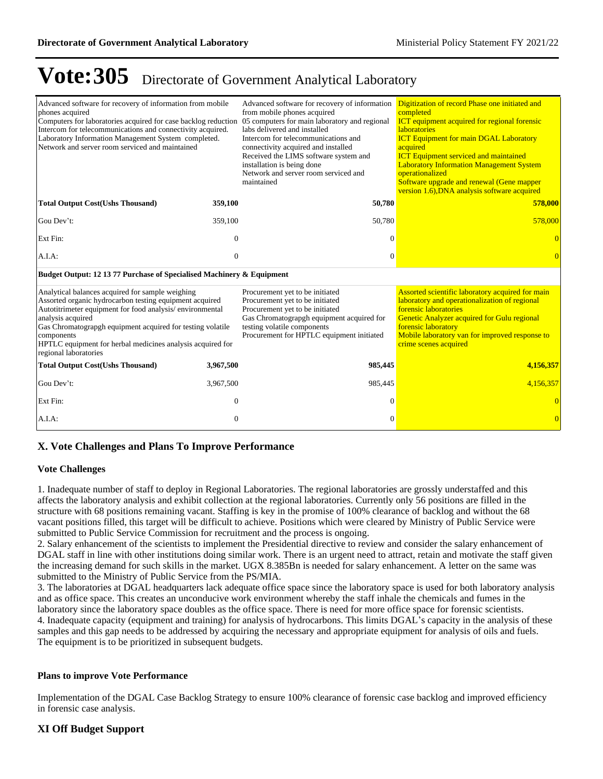| Advanced software for recovery of information from mobile<br>phones acquired<br>Computers for laboratories acquired for case backlog reduction 05 computers for main laboratory and regional<br>Intercom for telecommunications and connectivity acquired.<br>Laboratory Information Management System completed.<br>Network and server room serviced and maintained |                  | Advanced software for recovery of information<br>from mobile phones acquired<br>labs delivered and installed<br>Intercom for telecommunications and<br>connectivity acquired and installed<br>Received the LIMS software system and<br>installation is being done<br>Network and server room serviced and<br>maintained | Digitization of record Phase one initiated and<br>completed<br><b>ICT</b> equipment acquired for regional forensic<br><b>laboratories</b><br><b>ICT Equipment for main DGAL Laboratory</b><br>acquired<br><b>ICT</b> Equipment serviced and maintained<br><b>Laboratory Information Management System</b><br>operationalized<br>Software upgrade and renewal (Gene mapper<br>version 1.6), DNA analysis software acquired |
|----------------------------------------------------------------------------------------------------------------------------------------------------------------------------------------------------------------------------------------------------------------------------------------------------------------------------------------------------------------------|------------------|-------------------------------------------------------------------------------------------------------------------------------------------------------------------------------------------------------------------------------------------------------------------------------------------------------------------------|---------------------------------------------------------------------------------------------------------------------------------------------------------------------------------------------------------------------------------------------------------------------------------------------------------------------------------------------------------------------------------------------------------------------------|
| <b>Total Output Cost(Ushs Thousand)</b>                                                                                                                                                                                                                                                                                                                              | 359,100          | 50,780                                                                                                                                                                                                                                                                                                                  | 578,000                                                                                                                                                                                                                                                                                                                                                                                                                   |
| Gou Dev't:                                                                                                                                                                                                                                                                                                                                                           | 359,100          | 50,780                                                                                                                                                                                                                                                                                                                  | 578,000                                                                                                                                                                                                                                                                                                                                                                                                                   |
| Ext Fin:                                                                                                                                                                                                                                                                                                                                                             | $\mathbf{0}$     | 0                                                                                                                                                                                                                                                                                                                       |                                                                                                                                                                                                                                                                                                                                                                                                                           |
| A.I.A:                                                                                                                                                                                                                                                                                                                                                               | $\boldsymbol{0}$ | $\theta$                                                                                                                                                                                                                                                                                                                |                                                                                                                                                                                                                                                                                                                                                                                                                           |
| Budget Output: 12 13 77 Purchase of Specialised Machinery & Equipment                                                                                                                                                                                                                                                                                                |                  |                                                                                                                                                                                                                                                                                                                         |                                                                                                                                                                                                                                                                                                                                                                                                                           |
| Analytical balances acquired for sample weighing<br>Assorted organic hydrocarbon testing equipment acquired<br>Autotitrimeter equipment for food analysis/environmental<br>analysis acquired<br>Gas Chromatograpgh equipment acquired for testing volatile<br>components<br>HPTLC equipment for herbal medicines analysis acquired for<br>regional laboratories      |                  | Procurement yet to be initiated<br>Procurement yet to be initiated<br>Procurement yet to be initiated<br>Gas Chromatograpgh equipment acquired for<br>testing volatile components<br>Procurement for HPTLC equipment initiated                                                                                          | Assorted scientific laboratory acquired for main<br>laboratory and operationalization of regional<br>forensic laboratories<br>Genetic Analyzer acquired for Gulu regional<br>forensic laboratory<br>Mobile laboratory van for improved response to<br>crime scenes acquired                                                                                                                                               |
| <b>Total Output Cost(Ushs Thousand)</b>                                                                                                                                                                                                                                                                                                                              | 3,967,500        | 985,445                                                                                                                                                                                                                                                                                                                 | 4,156,357                                                                                                                                                                                                                                                                                                                                                                                                                 |
| Gou Dev't:                                                                                                                                                                                                                                                                                                                                                           | 3,967,500        | 985,445                                                                                                                                                                                                                                                                                                                 | 4,156,357                                                                                                                                                                                                                                                                                                                                                                                                                 |
| Ext Fin:                                                                                                                                                                                                                                                                                                                                                             | $\mathbf{0}$     | 0                                                                                                                                                                                                                                                                                                                       |                                                                                                                                                                                                                                                                                                                                                                                                                           |
| $A.I.A$ :                                                                                                                                                                                                                                                                                                                                                            | $\mathbf{0}$     | $\overline{0}$                                                                                                                                                                                                                                                                                                          | $\Omega$                                                                                                                                                                                                                                                                                                                                                                                                                  |

# **X. Vote Challenges and Plans To Improve Performance**

#### **Vote Challenges**

1. Inadequate number of staff to deploy in Regional Laboratories. The regional laboratories are grossly understaffed and this affects the laboratory analysis and exhibit collection at the regional laboratories. Currently only 56 positions are filled in the structure with 68 positions remaining vacant. Staffing is key in the promise of 100% clearance of backlog and without the 68 vacant positions filled, this target will be difficult to achieve. Positions which were cleared by Ministry of Public Service were submitted to Public Service Commission for recruitment and the process is ongoing.

2. Salary enhancement of the scientists to implement the Presidential directive to review and consider the salary enhancement of DGAL staff in line with other institutions doing similar work. There is an urgent need to attract, retain and motivate the staff given the increasing demand for such skills in the market. UGX 8.385Bn is needed for salary enhancement. A letter on the same was submitted to the Ministry of Public Service from the PS/MIA.

3. The laboratories at DGAL headquarters lack adequate office space since the laboratory space is used for both laboratory analysis and as office space. This creates an unconducive work environment whereby the staff inhale the chemicals and fumes in the laboratory since the laboratory space doubles as the office space. There is need for more office space for forensic scientists. 4. Inadequate capacity (equipment and training) for analysis of hydrocarbons. This limits DGAL's capacity in the analysis of these samples and this gap needs to be addressed by acquiring the necessary and appropriate equipment for analysis of oils and fuels. The equipment is to be prioritized in subsequent budgets.

#### **Plans to improve Vote Performance**

Implementation of the DGAL Case Backlog Strategy to ensure 100% clearance of forensic case backlog and improved efficiency in forensic case analysis.

### **XI Off Budget Support**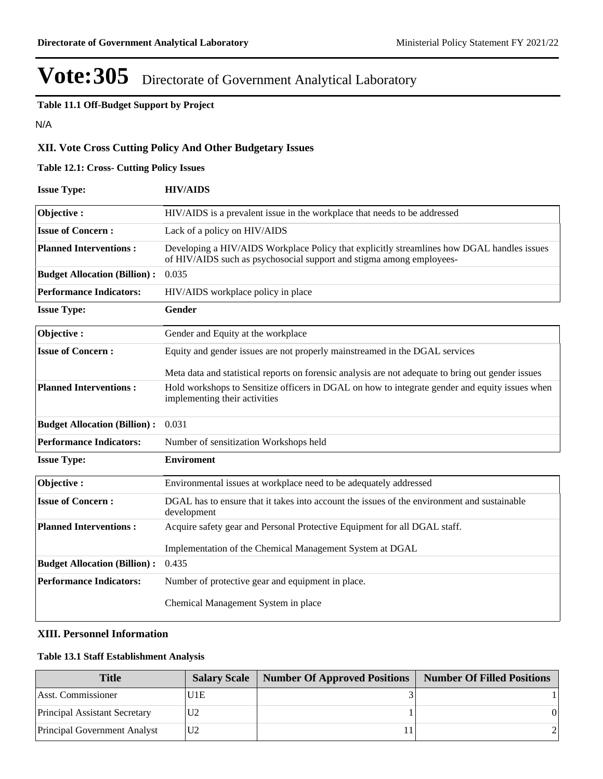**Table 11.1 Off-Budget Support by Project**

N/A

# **XII. Vote Cross Cutting Policy And Other Budgetary Issues**

## **Table 12.1: Cross- Cutting Policy Issues**

| <b>Issue Type:</b>                  | <b>HIV/AIDS</b>                                                                                                                                                    |
|-------------------------------------|--------------------------------------------------------------------------------------------------------------------------------------------------------------------|
| Objective:                          | HIV/AIDS is a prevalent issue in the workplace that needs to be addressed                                                                                          |
| <b>Issue of Concern:</b>            | Lack of a policy on HIV/AIDS                                                                                                                                       |
| <b>Planned Interventions:</b>       | Developing a HIV/AIDS Workplace Policy that explicitly streamlines how DGAL handles issues<br>of HIV/AIDS such as psychosocial support and stigma among employees- |
| <b>Budget Allocation (Billion):</b> | 0.035                                                                                                                                                              |
| <b>Performance Indicators:</b>      | HIV/AIDS workplace policy in place                                                                                                                                 |
| <b>Issue Type:</b>                  | Gender                                                                                                                                                             |
| Objective:                          | Gender and Equity at the workplace                                                                                                                                 |
| <b>Issue of Concern:</b>            | Equity and gender issues are not properly mainstreamed in the DGAL services                                                                                        |
|                                     | Meta data and statistical reports on forensic analysis are not adequate to bring out gender issues                                                                 |
| <b>Planned Interventions:</b>       | Hold workshops to Sensitize officers in DGAL on how to integrate gender and equity issues when<br>implementing their activities                                    |
| <b>Budget Allocation (Billion):</b> | 0.031                                                                                                                                                              |
| <b>Performance Indicators:</b>      | Number of sensitization Workshops held                                                                                                                             |
| <b>Issue Type:</b>                  | <b>Enviroment</b>                                                                                                                                                  |
| Objective:                          | Environmental issues at workplace need to be adequately addressed                                                                                                  |
| <b>Issue of Concern:</b>            | DGAL has to ensure that it takes into account the issues of the environment and sustainable<br>development                                                         |
| <b>Planned Interventions:</b>       | Acquire safety gear and Personal Protective Equipment for all DGAL staff.                                                                                          |
|                                     | Implementation of the Chemical Management System at DGAL                                                                                                           |
| <b>Budget Allocation (Billion):</b> | 0.435                                                                                                                                                              |
| <b>Performance Indicators:</b>      | Number of protective gear and equipment in place.                                                                                                                  |
|                                     | Chemical Management System in place                                                                                                                                |

# **XIII. Personnel Information**

### **Table 13.1 Staff Establishment Analysis**

| <b>Title</b>                        |                 | <b>Salary Scale   Number Of Approved Positions  </b> | <b>Number Of Filled Positions</b> |
|-------------------------------------|-----------------|------------------------------------------------------|-----------------------------------|
| Asst. Commissioner                  | U1E             |                                                      |                                   |
| Principal Assistant Secretary       | U <sub>12</sub> |                                                      |                                   |
| <b>Principal Government Analyst</b> | U2              |                                                      |                                   |